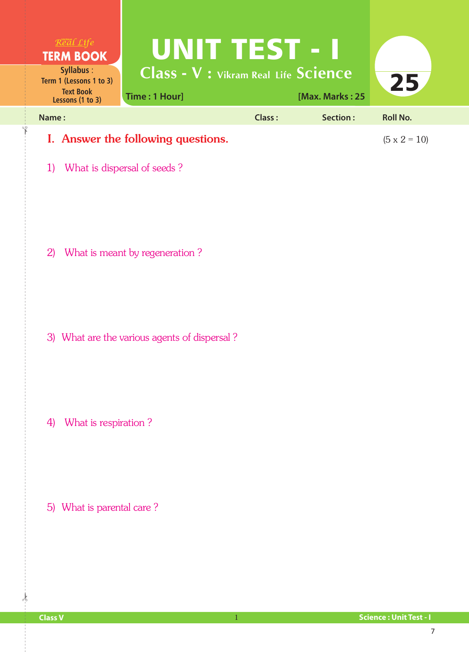| $R$ <i>ea</i> l $Life$<br><b>TERM BOOK</b><br>Syllabus:<br>Term 1 (Lessons 1 to 3)<br><b>Text Book</b><br>Lessons (1 to 3) | <b>UNIT TEST - I</b><br><b>Class - V : Vikram Real Life Science</b><br>Time: 1 Hour] |               | [Max. Marks: 25 | 25                  |
|----------------------------------------------------------------------------------------------------------------------------|--------------------------------------------------------------------------------------|---------------|-----------------|---------------------|
| Name:                                                                                                                      |                                                                                      | <b>Class:</b> | Section:        | <b>Roll No.</b>     |
| 1)                                                                                                                         | I. Answer the following questions.<br>What is dispersal of seeds?                    |               |                 | $(5 \times 2 = 10)$ |
| 2)                                                                                                                         | What is meant by regeneration?                                                       |               |                 |                     |
|                                                                                                                            | 3) What are the various agents of dispersal?                                         |               |                 |                     |
| What is respiration?<br>4)                                                                                                 |                                                                                      |               |                 |                     |
| 5) What is parental care?                                                                                                  |                                                                                      |               |                 |                     |

 $\frac{1}{2}$ 

✁